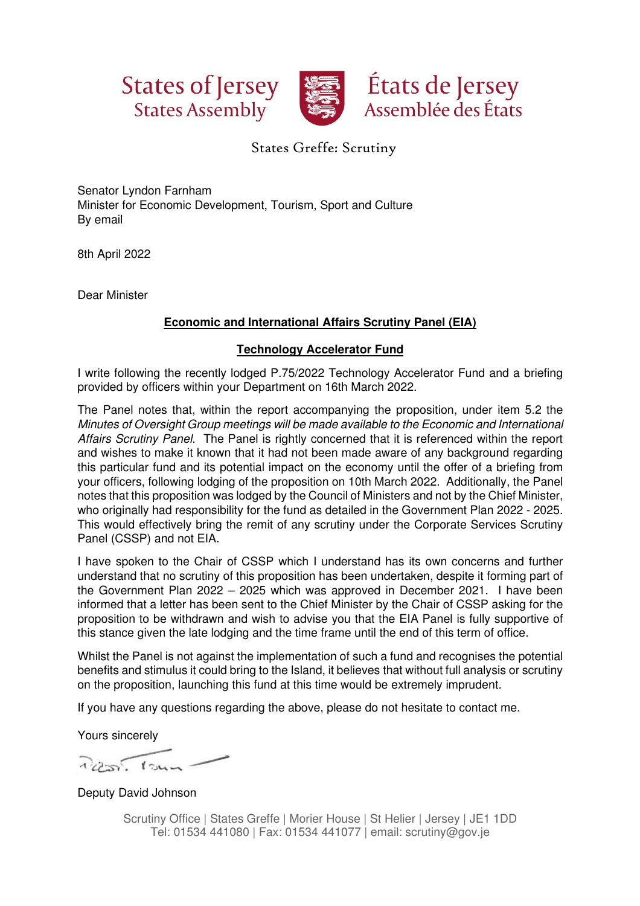



## States Greffe: Scrutiny

Senator Lyndon Farnham Minister for Economic Development, Tourism, Sport and Culture By email

8th April 2022

Dear Minister

## **Economic and International Affairs Scrutiny Panel (EIA)**

## **Technology Accelerator Fund**

I write following the recently lodged P.75/2022 Technology Accelerator Fund and a briefing provided by officers within your Department on 16th March 2022.

The Panel notes that, within the report accompanying the proposition, under item 5.2 the Minutes of Oversight Group meetings will be made available to the Economic and International Affairs Scrutiny Panel. The Panel is rightly concerned that it is referenced within the report and wishes to make it known that it had not been made aware of any background regarding this particular fund and its potential impact on the economy until the offer of a briefing from your officers, following lodging of the proposition on 10th March 2022. Additionally, the Panel notes that this proposition was lodged by the Council of Ministers and not by the Chief Minister, who originally had responsibility for the fund as detailed in the Government Plan 2022 - 2025. This would effectively bring the remit of any scrutiny under the Corporate Services Scrutiny Panel (CSSP) and not EIA.

I have spoken to the Chair of CSSP which I understand has its own concerns and further understand that no scrutiny of this proposition has been undertaken, despite it forming part of the Government Plan 2022 – 2025 which was approved in December 2021. I have been informed that a letter has been sent to the Chief Minister by the Chair of CSSP asking for the proposition to be withdrawn and wish to advise you that the EIA Panel is fully supportive of this stance given the late lodging and the time frame until the end of this term of office.

Whilst the Panel is not against the implementation of such a fund and recognises the potential benefits and stimulus it could bring to the Island, it believes that without full analysis or scrutiny on the proposition, launching this fund at this time would be extremely imprudent.

If you have any questions regarding the above, please do not hesitate to contact me.

Yours sincerely

 $200.104$ 

Deputy David Johnson

Scrutiny Office | States Greffe | Morier House | St Helier | Jersey | JE1 1DD Tel: 01534 441080 | Fax: 01534 441077 | email: scrutiny@gov.je